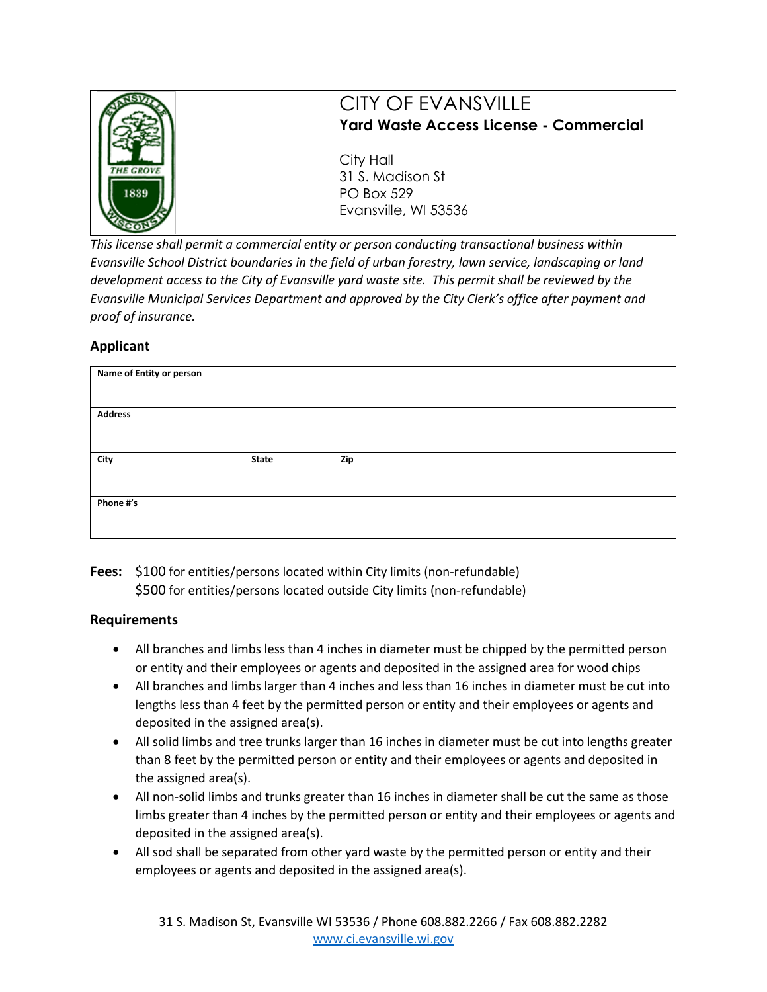|                        | CITY OF EVANSVILLE<br>Yard Waste Access License - Commercial               |
|------------------------|----------------------------------------------------------------------------|
| <b>HE GROV</b><br>1839 | City Hall<br>31 S. Madison St<br><b>PO Box 529</b><br>Evansville, WI 53536 |

*This license shall permit a commercial entity or person conducting transactional business within Evansville School District boundaries in the field of urban forestry, lawn service, landscaping or land development access to the City of Evansville yard waste site. This permit shall be reviewed by the Evansville Municipal Services Department and approved by the City Clerk's office after payment and proof of insurance.* 

## **Applicant**

| Name of Entity or person |       |     |  |
|--------------------------|-------|-----|--|
| <b>Address</b>           |       |     |  |
| City                     | State | Zip |  |
| Phone #'s                |       |     |  |

**Fees:** \$100 for entities/persons located within City limits (non-refundable) \$500 for entities/persons located outside City limits (non-refundable)

## **Requirements**

- All branches and limbs less than 4 inches in diameter must be chipped by the permitted person or entity and their employees or agents and deposited in the assigned area for wood chips
- All branches and limbs larger than 4 inches and less than 16 inches in diameter must be cut into lengths less than 4 feet by the permitted person or entity and their employees or agents and deposited in the assigned area(s).
- All solid limbs and tree trunks larger than 16 inches in diameter must be cut into lengths greater than 8 feet by the permitted person or entity and their employees or agents and deposited in the assigned area(s).
- All non-solid limbs and trunks greater than 16 inches in diameter shall be cut the same as those limbs greater than 4 inches by the permitted person or entity and their employees or agents and deposited in the assigned area(s).
- All sod shall be separated from other yard waste by the permitted person or entity and their employees or agents and deposited in the assigned area(s).